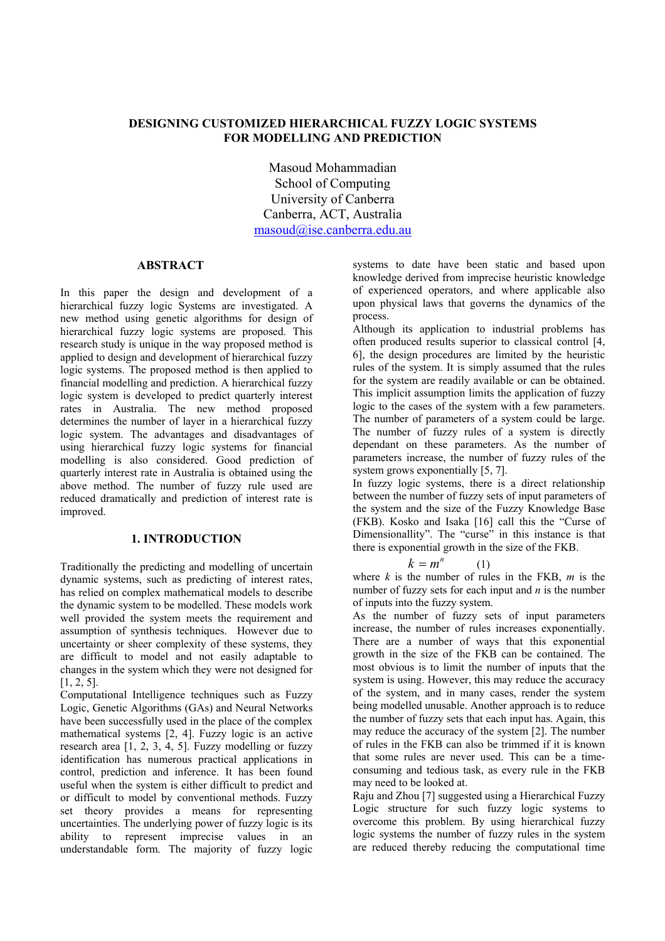# **DESIGNING CUSTOMIZED HIERARCHICAL FUZZY LOGIC SYSTEMS FOR MODELLING AND PREDICTION**

Masoud Mohammadian School of Computing University of Canberra Canberra, ACT, Australia masoud@ise.canberra.edu.au

### **ABSTRACT**

In this paper the design and development of a hierarchical fuzzy logic Systems are investigated. A new method using genetic algorithms for design of hierarchical fuzzy logic systems are proposed. This research study is unique in the way proposed method is applied to design and development of hierarchical fuzzy logic systems. The proposed method is then applied to financial modelling and prediction. A hierarchical fuzzy logic system is developed to predict quarterly interest rates in Australia. The new method proposed determines the number of layer in a hierarchical fuzzy logic system. The advantages and disadvantages of using hierarchical fuzzy logic systems for financial modelling is also considered. Good prediction of quarterly interest rate in Australia is obtained using the above method. The number of fuzzy rule used are reduced dramatically and prediction of interest rate is improved.

### **1. INTRODUCTION**

Traditionally the predicting and modelling of uncertain dynamic systems, such as predicting of interest rates, has relied on complex mathematical models to describe the dynamic system to be modelled. These models work well provided the system meets the requirement and assumption of synthesis techniques. However due to uncertainty or sheer complexity of these systems, they are difficult to model and not easily adaptable to changes in the system which they were not designed for [1, 2, 5].

Computational Intelligence techniques such as Fuzzy Logic, Genetic Algorithms (GAs) and Neural Networks have been successfully used in the place of the complex mathematical systems [2, 4]. Fuzzy logic is an active research area  $\begin{bmatrix} 1, 2, 3, 4, 5 \end{bmatrix}$ . Fuzzy modelling or fuzzy identification has numerous practical applications in control, prediction and inference. It has been found useful when the system is either difficult to predict and or difficult to model by conventional methods. Fuzzy set theory provides a means for representing uncertainties. The underlying power of fuzzy logic is its ability to represent imprecise values in an understandable form. The majority of fuzzy logic

systems to date have been static and based upon knowledge derived from imprecise heuristic knowledge of experienced operators, and where applicable also upon physical laws that governs the dynamics of the process.

Although its application to industrial problems has often produced results superior to classical control [4, 6], the design procedures are limited by the heuristic rules of the system. It is simply assumed that the rules for the system are readily available or can be obtained. This implicit assumption limits the application of fuzzy logic to the cases of the system with a few parameters. The number of parameters of a system could be large. The number of fuzzy rules of a system is directly dependant on these parameters. As the number of parameters increase, the number of fuzzy rules of the system grows exponentially [5, 7].

In fuzzy logic systems, there is a direct relationship between the number of fuzzy sets of input parameters of the system and the size of the Fuzzy Knowledge Base (FKB). Kosko and Isaka [16] call this the "Curse of Dimensionallity". The "curse" in this instance is that there is exponential growth in the size of the FKB.

$$
k = m^n \qquad (1)
$$

where  $k$  is the number of rules in the FKB,  $m$  is the number of fuzzy sets for each input and *n* is the number of inputs into the fuzzy system.

As the number of fuzzy sets of input parameters increase, the number of rules increases exponentially. There are a number of ways that this exponential growth in the size of the FKB can be contained. The most obvious is to limit the number of inputs that the system is using. However, this may reduce the accuracy of the system, and in many cases, render the system being modelled unusable. Another approach is to reduce the number of fuzzy sets that each input has. Again, this may reduce the accuracy of the system [2]. The number of rules in the FKB can also be trimmed if it is known that some rules are never used. This can be a timeconsuming and tedious task, as every rule in the FKB may need to be looked at.

Raju and Zhou [7] suggested using a Hierarchical Fuzzy Logic structure for such fuzzy logic systems to overcome this problem. By using hierarchical fuzzy logic systems the number of fuzzy rules in the system are reduced thereby reducing the computational time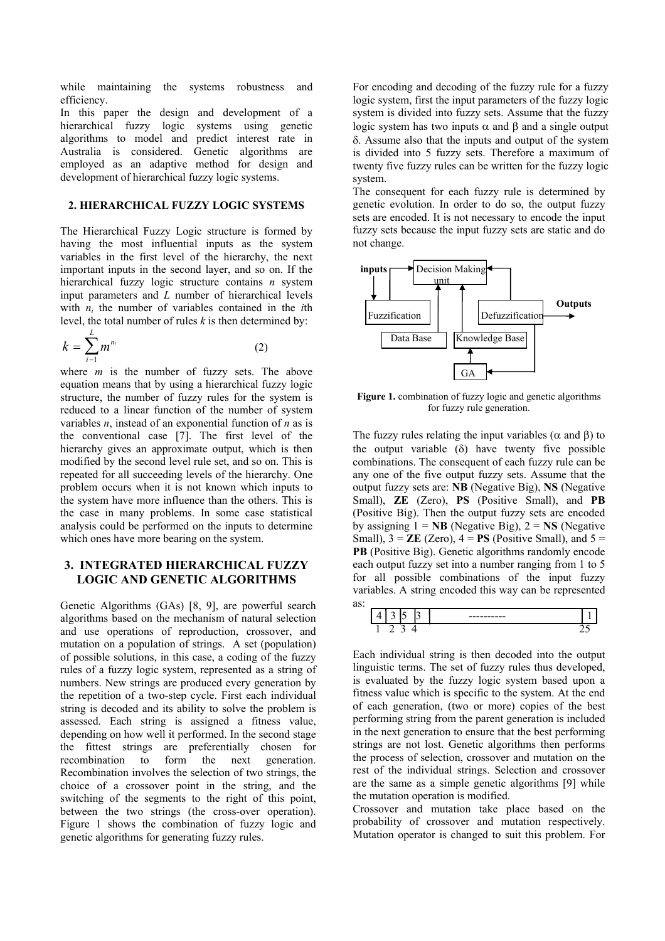while maintaining the systems robustness and efficiency.

In this paper the design and development of a hierarchical fuzzy logic systems using genetic algorithms to model and predict interest rate in Australia is considered. Genetic algorithms are employed as an adaptive method for design and development of hierarchical fuzzy logic systems.

#### **2. HIERARCHICAL FUZZY LOGIC SYSTEMS**

The Hierarchical Fuzzy Logic structure is formed by having the most influential inputs as the system variables in the first level of the hierarchy, the next important inputs in the second layer, and so on. If the hierarchical fuzzy logic structure contains *n* system input parameters and *L* number of hierarchical levels with  $n_i$  the number of variables contained in the *i*th level, the total number of rules *k* is then determined by:

$$
k=\sum_{i=1}^{L}m^{m}
$$
 (2)

where *m* is the number of fuzzy sets. The above equation means that by using a hierarchical fuzzy logic structure, the number of fuzzy rules for the system is reduced to a linear function of the number of system variables *n*, instead of an exponential function of *n* as is the conventional case [7]. The first level of the hierarchy gives an approximate output, which is then modified by the second level rule set, and so on. This is repeated for all succeeding levels of the hierarchy. One problem occurs when it is not known which inputs to the system have more influence than the others. This is the case in many problems. In some case statistical analysis could be performed on the inputs to determine which ones have more bearing on the system.

## **3. INTEGRATED HIERARCHICAL FUZZY LOGIC AND GENETIC ALGORITHMS**

Genetic Algorithms (GAs) [8, 9], are powerful search algorithms based on the mechanism of natural selection and use operations of reproduction, crossover, and mutation on a population of strings. A set (population) of possible solutions, in this case, a coding of the fuzzy rules of a fuzzy logic system, represented as a string of numbers. New strings are produced every generation by the repetition of a two-step cycle. First each individual string is decoded and its ability to solve the problem is assessed. Each string is assigned a fitness value, depending on how well it performed. In the second stage the fittest strings are preferentially chosen for recombination to form the next generation. Recombination involves the selection of two strings, the choice of a crossover point in the string, and the switching of the segments to the right of this point, between the two strings (the cross-over operation). Figure 1 shows the combination of fuzzy logic and genetic algorithms for generating fuzzy rules.

For encoding and decoding of the fuzzy rule for a fuzzy logic system, first the input parameters of the fuzzy logic system is divided into fuzzy sets. Assume that the fuzzy logic system has two inputs  $\alpha$  and β and a single output δ. Assume also that the inputs and output of the system is divided into 5 fuzzy sets. Therefore a maximum of twenty five fuzzy rules can be written for the fuzzy logic system.

The consequent for each fuzzy rule is determined by genetic evolution. In order to do so, the output fuzzy sets are encoded. It is not necessary to encode the input fuzzy sets because the input fuzzy sets are static and do not change.



Figure 1. combination of fuzzy logic and genetic algorithms for fuzzy rule generation.

The fuzzy rules relating the input variables ( $\alpha$  and  $\beta$ ) to the output variable  $(\delta)$  have twenty five possible combinations. The consequent of each fuzzy rule can be any one of the five output fuzzy sets. Assume that the output fuzzy sets are: **NB** (Negative Big), **NS** (Negative Small), **ZE** (Zero), **PS** (Positive Small), and **PB** (Positive Big). Then the output fuzzy sets are encoded by assigning  $1 = NB$  (Negative Big),  $2 = NS$  (Negative Small),  $3 = \mathbb{Z}E$  (Zero),  $4 = PS$  (Positive Small), and  $5 =$ **PB** (Positive Big). Genetic algorithms randomly encode each output fuzzy set into a number ranging from 1 to 5 for all possible combinations of the input fuzzy variables. A string encoded this way can be represented as:

 4 3 5 3 ---------- 1 1 2 3 4 25

Each individual string is then decoded into the output linguistic terms. The set of fuzzy rules thus developed, is evaluated by the fuzzy logic system based upon a fitness value which is specific to the system. At the end of each generation, (two or more) copies of the best performing string from the parent generation is included in the next generation to ensure that the best performing strings are not lost. Genetic algorithms then performs the process of selection, crossover and mutation on the rest of the individual strings. Selection and crossover are the same as a simple genetic algorithms [9] while the mutation operation is modified.

Crossover and mutation take place based on the probability of crossover and mutation respectively. Mutation operator is changed to suit this problem. For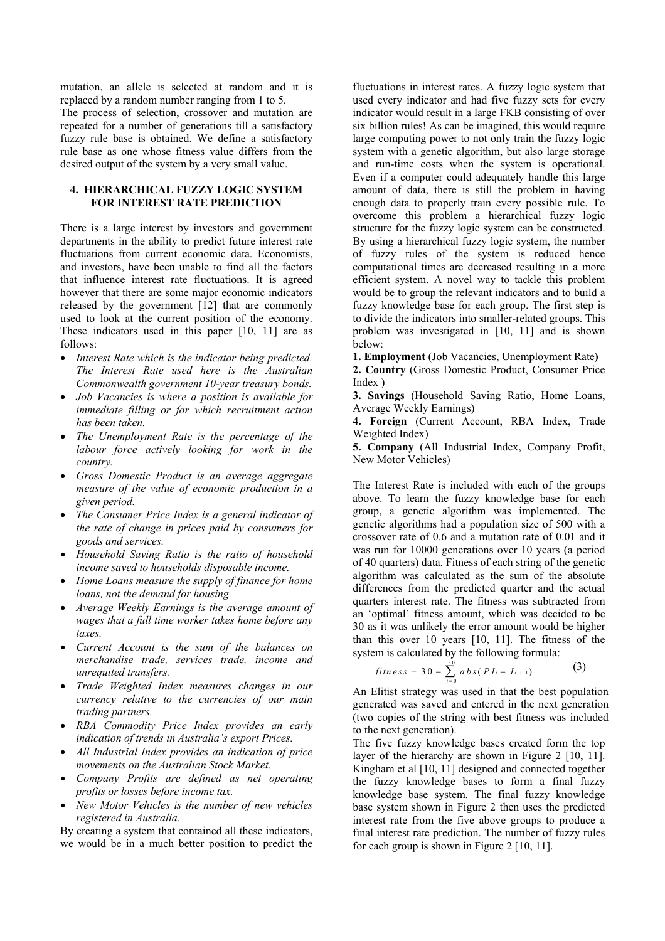mutation, an allele is selected at random and it is replaced by a random number ranging from 1 to 5. The process of selection, crossover and mutation are repeated for a number of generations till a satisfactory fuzzy rule base is obtained. We define a satisfactory rule base as one whose fitness value differs from the desired output of the system by a very small value.

## **4. HIERARCHICAL FUZZY LOGIC SYSTEM FOR INTEREST RATE PREDICTION**

There is a large interest by investors and government departments in the ability to predict future interest rate fluctuations from current economic data. Economists, and investors, have been unable to find all the factors that influence interest rate fluctuations. It is agreed however that there are some major economic indicators released by the government [12] that are commonly used to look at the current position of the economy. These indicators used in this paper [10, 11] are as follows:

- *Interest Rate which is the indicator being predicted. The Interest Rate used here is the Australian Commonwealth government 10-year treasury bonds.*
- *Job Vacancies is where a position is available for immediate filling or for which recruitment action has been taken.*
- *The Unemployment Rate is the percentage of the labour force actively looking for work in the country.*
- *Gross Domestic Product is an average aggregate measure of the value of economic production in a given period.*
- *The Consumer Price Index is a general indicator of the rate of change in prices paid by consumers for goods and services.*
- *Household Saving Ratio is the ratio of household income saved to households disposable income.*
- *Home Loans measure the supply of finance for home loans, not the demand for housing.*
- *Average Weekly Earnings is the average amount of wages that a full time worker takes home before any taxes.*
- *Current Account is the sum of the balances on merchandise trade, services trade, income and unrequited transfers.*
- *Trade Weighted Index measures changes in our currency relative to the currencies of our main trading partners.*
- *RBA Commodity Price Index provides an early indication of trends in Australia's export Prices.*
- *All Industrial Index provides an indication of price movements on the Australian Stock Market.*
- *Company Profits are defined as net operating profits or losses before income tax.*
- *New Motor Vehicles is the number of new vehicles registered in Australia.*

By creating a system that contained all these indicators, we would be in a much better position to predict the fluctuations in interest rates. A fuzzy logic system that used every indicator and had five fuzzy sets for every indicator would result in a large FKB consisting of over six billion rules! As can be imagined, this would require large computing power to not only train the fuzzy logic system with a genetic algorithm, but also large storage and run-time costs when the system is operational. Even if a computer could adequately handle this large amount of data, there is still the problem in having enough data to properly train every possible rule. To overcome this problem a hierarchical fuzzy logic structure for the fuzzy logic system can be constructed. By using a hierarchical fuzzy logic system, the number of fuzzy rules of the system is reduced hence computational times are decreased resulting in a more efficient system. A novel way to tackle this problem would be to group the relevant indicators and to build a fuzzy knowledge base for each group. The first step is to divide the indicators into smaller-related groups. This problem was investigated in [10, 11] and is shown below:

- **1. Employment** (Job Vacancies, Unemployment Rate**)**
- **2. Country** (Gross Domestic Product, Consumer Price Index )
- **3. Savings** (Household Saving Ratio, Home Loans, Average Weekly Earnings)
- **4. Foreign** (Current Account, RBA Index, Trade Weighted Index)
- **5. Company** (All Industrial Index, Company Profit, New Motor Vehicles)

The Interest Rate is included with each of the groups above. To learn the fuzzy knowledge base for each group, a genetic algorithm was implemented. The genetic algorithms had a population size of 500 with a crossover rate of 0.6 and a mutation rate of 0.01 and it was run for 10000 generations over 10 years (a period of 40 quarters) data. Fitness of each string of the genetic algorithm was calculated as the sum of the absolute differences from the predicted quarter and the actual quarters interest rate. The fitness was subtracted from an 'optimal' fitness amount, which was decided to be 30 as it was unlikely the error amount would be higher than this over 10 years [10, 11]. The fitness of the system is calculated by the following formula:

$$
fitness = 30 - \sum_{i=0}^{30} abs(PI_i - I_{i+1})
$$
 (3)

An Elitist strategy was used in that the best population generated was saved and entered in the next generation (two copies of the string with best fitness was included to the next generation).

The five fuzzy knowledge bases created form the top layer of the hierarchy are shown in Figure 2 [10, 11]. Kingham et al [10, 11] designed and connected together the fuzzy knowledge bases to form a final fuzzy knowledge base system. The final fuzzy knowledge base system shown in Figure 2 then uses the predicted interest rate from the five above groups to produce a final interest rate prediction. The number of fuzzy rules for each group is shown in Figure 2 [10, 11].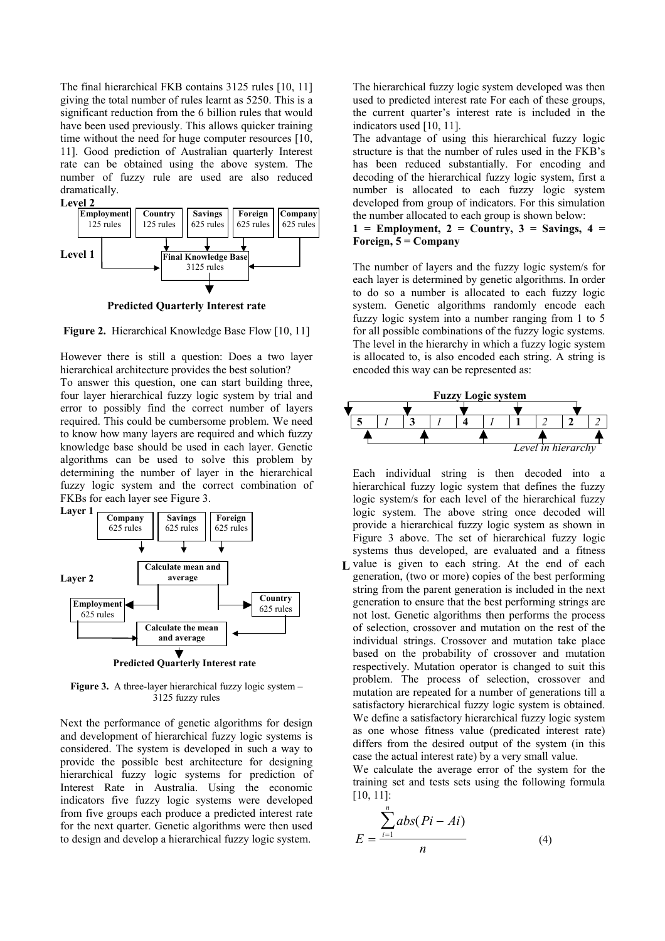The final hierarchical FKB contains 3125 rules [10, 11] giving the total number of rules learnt as 5250. This is a significant reduction from the 6 billion rules that would have been used previously. This allows quicker training time without the need for huge computer resources [10, 11]. Good prediction of Australian quarterly Interest rate can be obtained using the above system. The number of fuzzy rule are used are also reduced dramatically.



**Predicted Quarterly Interest rate** 

Figure 2. Hierarchical Knowledge Base Flow [10, 11]

However there is still a question: Does a two layer hierarchical architecture provides the best solution?

To answer this question, one can start building three, four layer hierarchical fuzzy logic system by trial and error to possibly find the correct number of layers required. This could be cumbersome problem. We need to know how many layers are required and which fuzzy knowledge base should be used in each layer. Genetic algorithms can be used to solve this problem by determining the number of layer in the hierarchical fuzzy logic system and the correct combination of FKBs for each layer see Figure 3.



**Figure 3.** A three-layer hierarchical fuzzy logic system – 3125 fuzzy rules

Next the performance of genetic algorithms for design and development of hierarchical fuzzy logic systems is considered. The system is developed in such a way to provide the possible best architecture for designing hierarchical fuzzy logic systems for prediction of Interest Rate in Australia. Using the economic indicators five fuzzy logic systems were developed from five groups each produce a predicted interest rate for the next quarter. Genetic algorithms were then used to design and develop a hierarchical fuzzy logic system.

The hierarchical fuzzy logic system developed was then used to predicted interest rate For each of these groups, the current quarter's interest rate is included in the indicators used [10, 11].

The advantage of using this hierarchical fuzzy logic structure is that the number of rules used in the FKB's has been reduced substantially. For encoding and decoding of the hierarchical fuzzy logic system, first a number is allocated to each fuzzy logic system developed from group of indicators. For this simulation **Employm** the number allocated to each group is shown below: **ent** 

 $1 =$  Employment,  $2 =$  Country,  $3 =$  Savings,  $4 =$ **Foreign, 5 = Company**

The number of layers and the fuzzy logic system/s for each layer is determined by genetic algorithms. In order to do so a number is allocated to each fuzzy logic system. Genetic algorithms randomly encode each fuzzy logic system into a number ranging from 1 to 5 for all possible combinations of the fuzzy logic systems. The level in the hierarchy in which a fuzzy logic system is allocated to, is also encoded each string. A string is encoded this way can be represented as:



Each individual string is then decoded into a hierarchical fuzzy logic system that defines the fuzzy logic system/s for each level of the hierarchical fuzzy logic system. The above string once decoded will provide a hierarchical fuzzy logic system as shown in Figure 3 above. The set of hierarchical fuzzy logic systems thus developed, are evaluated and a fitness

**L**  value is given to each string. At the end of each generation, (two or more) copies of the best performing string from the parent generation is included in the next generation to ensure that the best performing strings are not lost. Genetic algorithms then performs the process of selection, crossover and mutation on the rest of the individual strings. Crossover and mutation take place based on the probability of crossover and mutation respectively. Mutation operator is changed to suit this problem. The process of selection, crossover and mutation are repeated for a number of generations till a satisfactory hierarchical fuzzy logic system is obtained. We define a satisfactory hierarchical fuzzy logic system as one whose fitness value (predicated interest rate) differs from the desired output of the system (in this case the actual interest rate) by a very small value.

We calculate the average error of the system for the training set and tests sets using the following formula [10, 11]:

$$
E = \frac{\sum_{i=1}^{n} abs(Pi - Ai)}{n}
$$
 (4)